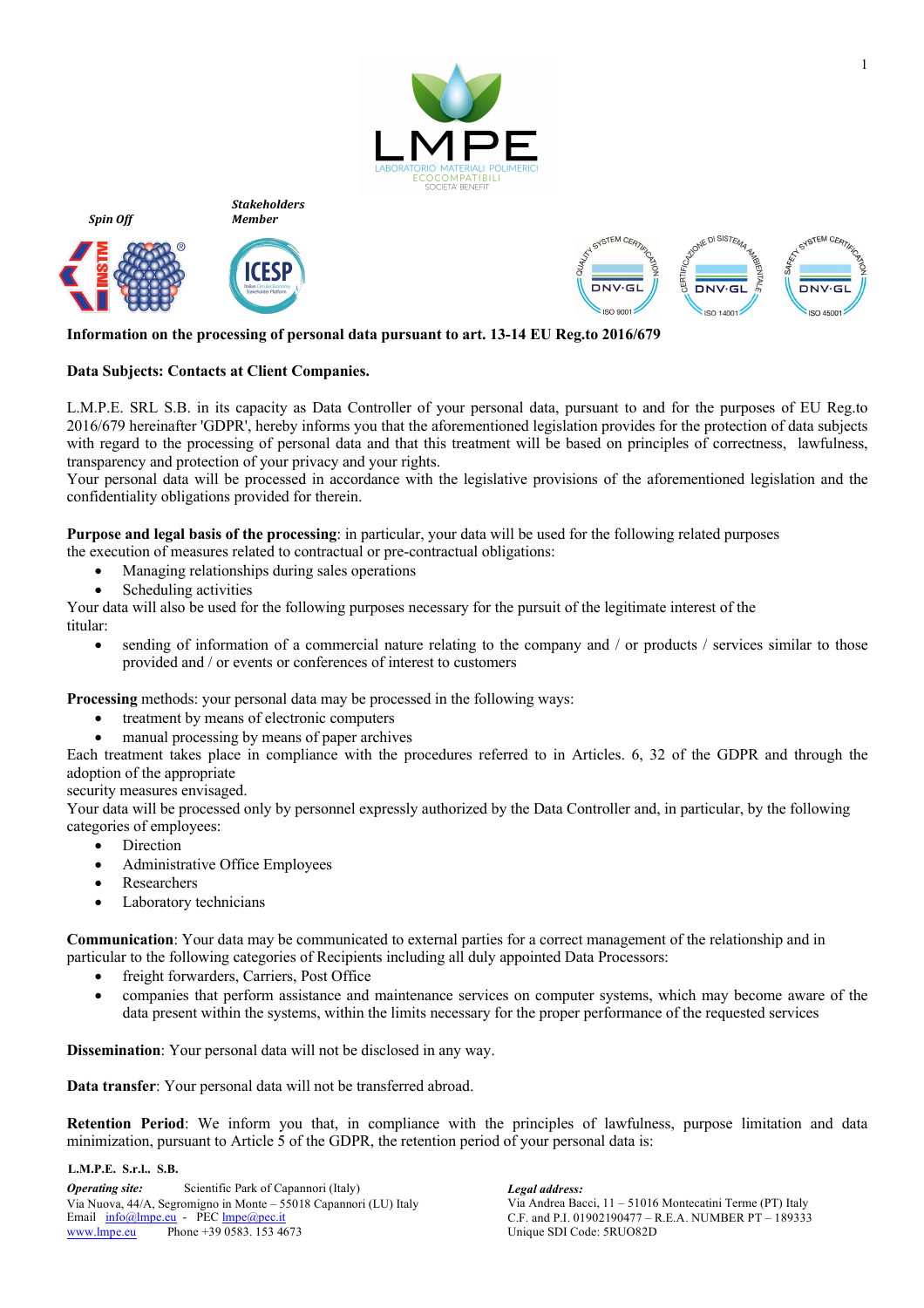

*Stakeholders Member*



*Spin Off*





## **Information on the processing of personal data pursuant to art. 13-14 EU Reg.to 2016/679**

## **Data Subjects: Contacts at Client Companies.**

L.M.P.E. SRL S.B. in its capacity as Data Controller of your personal data, pursuant to and for the purposes of EU Reg.to 2016/679 hereinafter 'GDPR', hereby informs you that the aforementioned legislation provides for the protection of data subjects with regard to the processing of personal data and that this treatment will be based on principles of correctness, lawfulness, transparency and protection of your privacy and your rights.

Your personal data will be processed in accordance with the legislative provisions of the aforementioned legislation and the confidentiality obligations provided for therein.

**Purpose and legal basis of the processing**: in particular, your data will be used for the following related purposes

the execution of measures related to contractual or pre-contractual obligations:

- Managing relationships during sales operations
- Scheduling activities

Your data will also be used for the following purposes necessary for the pursuit of the legitimate interest of the titular:

• sending of information of a commercial nature relating to the company and / or products / services similar to those provided and / or events or conferences of interest to customers

**Processing** methods: your personal data may be processed in the following ways:

- treatment by means of electronic computers
- manual processing by means of paper archives

Each treatment takes place in compliance with the procedures referred to in Articles. 6, 32 of the GDPR and through the adoption of the appropriate

security measures envisaged.

Your data will be processed only by personnel expressly authorized by the Data Controller and, in particular, by the following categories of employees:

- Direction
- Administrative Office Employees
- **Researchers**
- Laboratory technicians

**Communication**: Your data may be communicated to external parties for a correct management of the relationship and in particular to the following categories of Recipients including all duly appointed Data Processors:

- freight forwarders, Carriers, Post Office
- companies that perform assistance and maintenance services on computer systems, which may become aware of the data present within the systems, within the limits necessary for the proper performance of the requested services

**Dissemination**: Your personal data will not be disclosed in any way.

**Data transfer**: Your personal data will not be transferred abroad.

**Retention Period**: We inform you that, in compliance with the principles of lawfulness, purpose limitation and data minimization, pursuant to Article 5 of the GDPR, the retention period of your personal data is:

**L.M.P.E. S.r.l.. S.B.**

*Operating site:* Scientific Park of Capannori (Italy) *Legal address:*<br>
Via Andrea Bacci, 11 – 51016 Montecatini Terme (PT) Italy Via Andrea Bacci, 11 – 51016 Montecatini Terme (PT) Italy Via Nuova, 44/A, Segromigno in Monte – 55018 Capannori (LU) Italy Email  $\frac{info@lmpe.eu}{N}$  - PEC  $\frac{lmpe@pec.it}{N}$  C.F. and P.I. 01902190477 – www.lmpe.eu Phone +39 0583. 153 4673

Unique SDI Code: 5RUO82D C.F. and P.I. 01902190477 – R.E.A. NUMBER PT – 189333